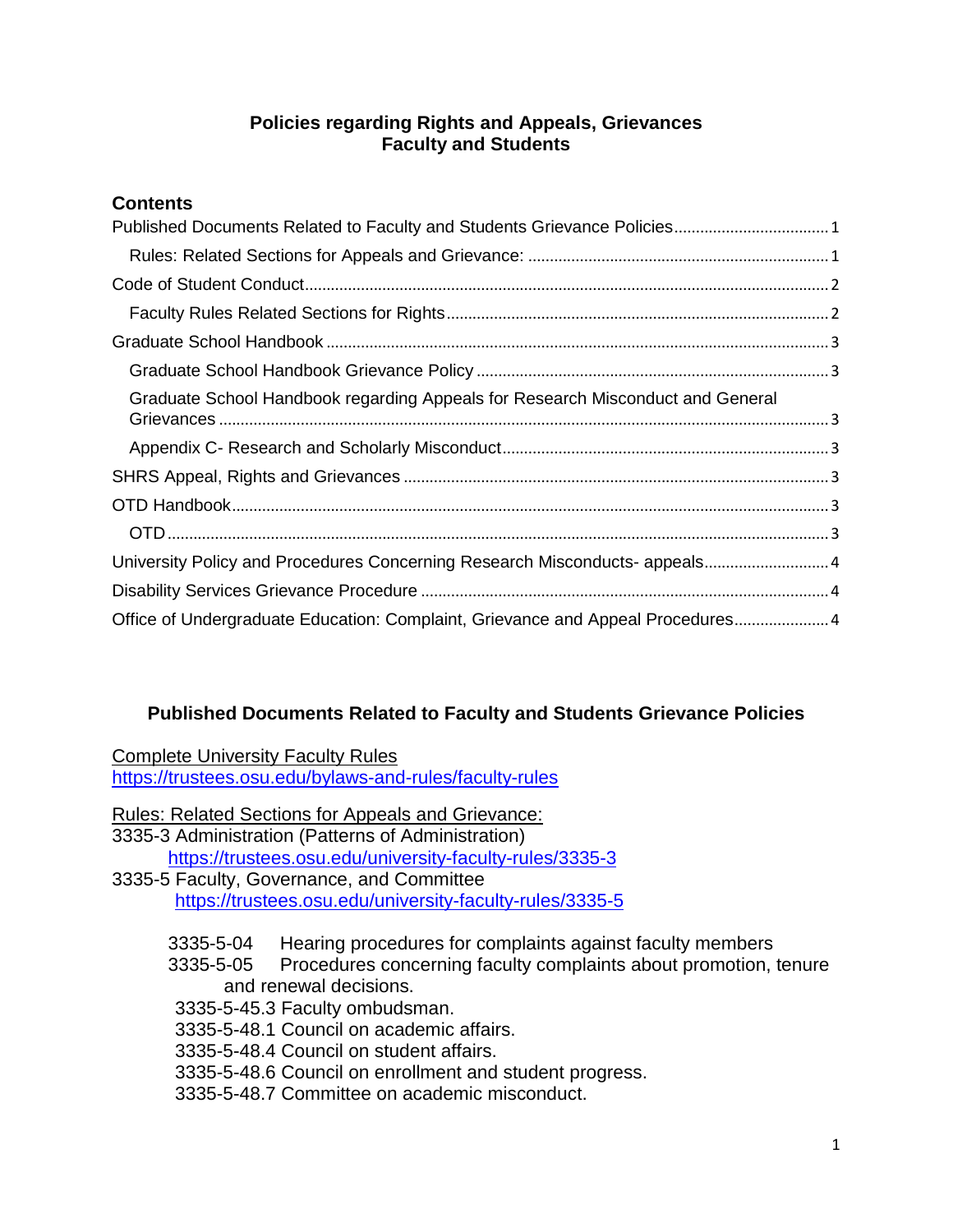#### **Policies regarding Rights and Appeals, Grievances Faculty and Students**

# **Contents**

| Graduate School Handbook regarding Appeals for Research Misconduct and General  |  |
|---------------------------------------------------------------------------------|--|
|                                                                                 |  |
|                                                                                 |  |
|                                                                                 |  |
|                                                                                 |  |
| University Policy and Procedures Concerning Research Misconducts- appeals 4     |  |
|                                                                                 |  |
| Office of Undergraduate Education: Complaint, Grievance and Appeal Procedures 4 |  |

# <span id="page-0-0"></span>**Published Documents Related to Faculty and Students Grievance Policies**

Complete University Faculty Rules https://trustees.osu.edu/bylaws-and-rules/faculty-rules

- <span id="page-0-1"></span>Rules: Related Sections for Appeals and Grievance: [3335-3 Administration \(](http://trustees.osu.edu/rules/university-rules/chapter-3335-3-administration.html)Patterns of Administration) <https://trustees.osu.edu/university-faculty-rules/3335-3> 3335-5 Faculty, Governance, and Committee <https://trustees.osu.edu/university-faculty-rules/3335-5> 3335-5-04 Hearing procedures for complaints against faculty members 3335-5-05 Procedures concerning faculty complaints about promotion, tenure and renewal decisions.
	- 3335-5-45.3 Faculty ombudsman.
	- 3335-5-48.1 Council on academic affairs.
	- 3335-5-48.4 Council on student affairs.
	- 3335-5-48.6 Council on enrollment and student progress.
	- 3335-5-48.7 Committee on academic misconduct.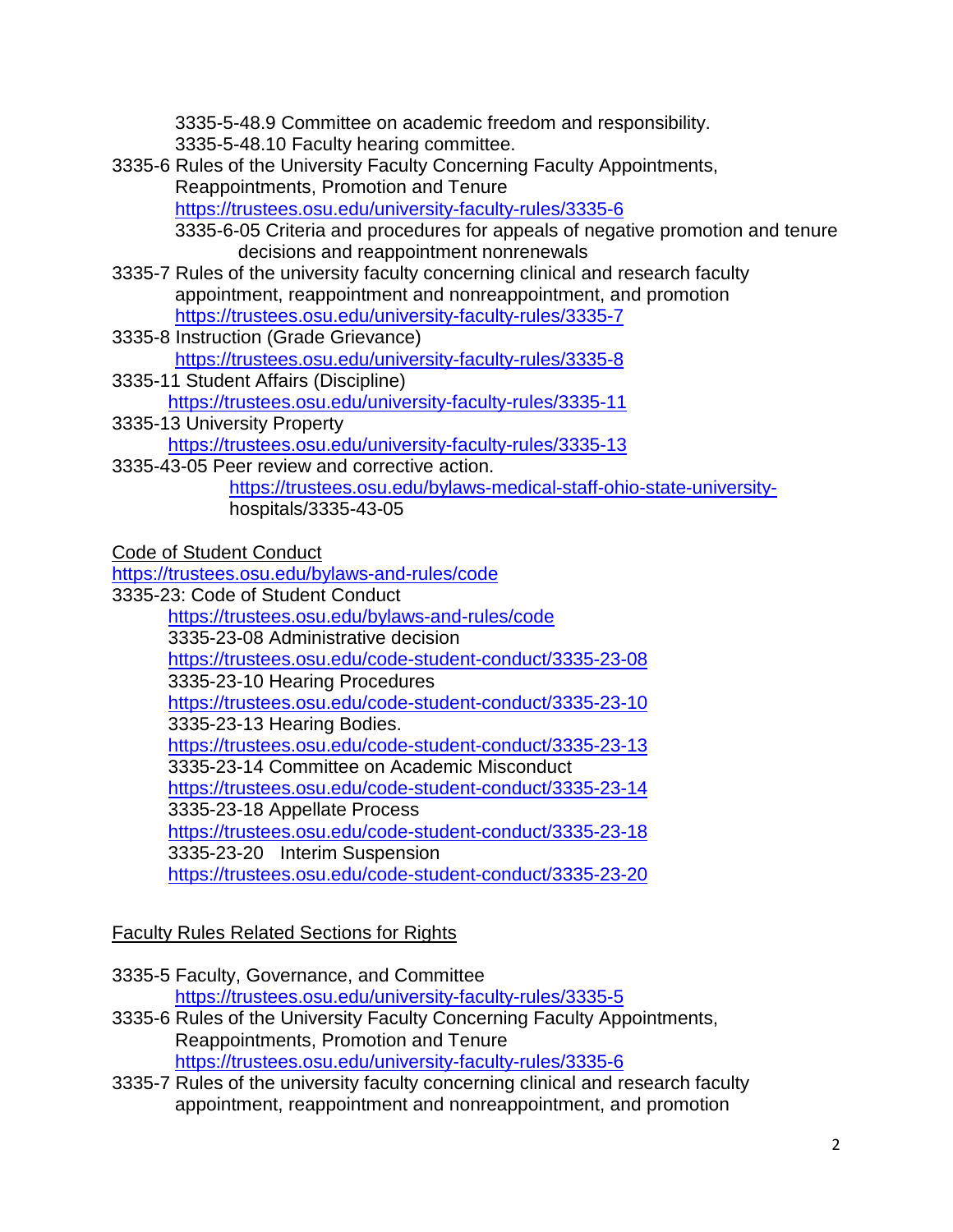3335-5-48.9 Committee on academic freedom and responsibility. 3335-5-48.10 Faculty hearing committee.

3335-6 Rules of the University Faculty Concerning Faculty Appointments, Reappointments, Promotion and Tenure <https://trustees.osu.edu/university-faculty-rules/3335-6>

3335-6-05 Criteria and procedures for appeals of negative promotion and tenure decisions and reappointment nonrenewals

- [3335-7 Rules of the university faculty concerning clinical and research faculty](http://trustees.osu.edu/rules/university-rules/chapter-3335-7-rules-of-the-university-faculty-concerning-clinical-faculty-appointment-reappointment-and-nonreappointment-and-promotion.html)  [appointment, reappointment and nonreappointment, and promotion](http://trustees.osu.edu/rules/university-rules/chapter-3335-7-rules-of-the-university-faculty-concerning-clinical-faculty-appointment-reappointment-and-nonreappointment-and-promotion.html) <https://trustees.osu.edu/university-faculty-rules/3335-7>
- 3335-8 Instruction [\(Grade Grievance\)](https://www.google.com/url?q=http://trustees.osu.edu/rules/university-rules/chapter-3335-8-instruction.html&sa=U&ved=0ahUKEwj93IKrx7HLAhUDuYMKHXX7Ca0QFggIMAI&client=internal-uds-cse&usg=AFQjCNEvRFAB9j580IjXmo2oxUEF4Vq1IA) <https://trustees.osu.edu/university-faculty-rules/3335-8>
- 3335-11 Student Affairs (Discipline) <https://trustees.osu.edu/university-faculty-rules/3335-11>
- 3335-13 University Property <https://trustees.osu.edu/university-faculty-rules/3335-13>
- 3335-43-05 Peer review and corrective action. [https://trustees.osu.edu/bylaws-medical-staff-ohio-state-university](https://trustees.osu.edu/bylaws-medical-staff-ohio-state-university-)hospitals/3335-43-05

<span id="page-1-0"></span>[Code of Student Conduct](http://trustees.osu.edu/rules/code-of-student-conduct/)

<https://trustees.osu.edu/bylaws-and-rules/code>

3335-23: Code of Student Conduct <https://trustees.osu.edu/bylaws-and-rules/code> 3335-23-08 Administrative decision <https://trustees.osu.edu/code-student-conduct/3335-23-08> 3335-23-10 Hearing Procedures <https://trustees.osu.edu/code-student-conduct/3335-23-10> 3335-23-13 Hearing Bodies. <https://trustees.osu.edu/code-student-conduct/3335-23-13> 3335-23-14 Committee on Academic Misconduct <https://trustees.osu.edu/code-student-conduct/3335-23-14> 3335-23-18 Appellate Process <https://trustees.osu.edu/code-student-conduct/3335-23-18> 3335-23-20 Interim Suspension <https://trustees.osu.edu/code-student-conduct/3335-23-20>

<span id="page-1-1"></span>Faculty Rules Related Sections for Rights

- 3335-5 Faculty, Governance, and Committee <https://trustees.osu.edu/university-faculty-rules/3335-5>
- 3335-6 Rules of the University Faculty Concerning Faculty Appointments, Reappointments, Promotion and Tenure <https://trustees.osu.edu/university-faculty-rules/3335-6>
- [3335-7 Rules of the university faculty concerning clinical and research faculty](http://trustees.osu.edu/rules/university-rules/chapter-3335-7-rules-of-the-university-faculty-concerning-clinical-faculty-appointment-reappointment-and-nonreappointment-and-promotion.html)  [appointment, reappointment and nonreappointment, and promotion](http://trustees.osu.edu/rules/university-rules/chapter-3335-7-rules-of-the-university-faculty-concerning-clinical-faculty-appointment-reappointment-and-nonreappointment-and-promotion.html)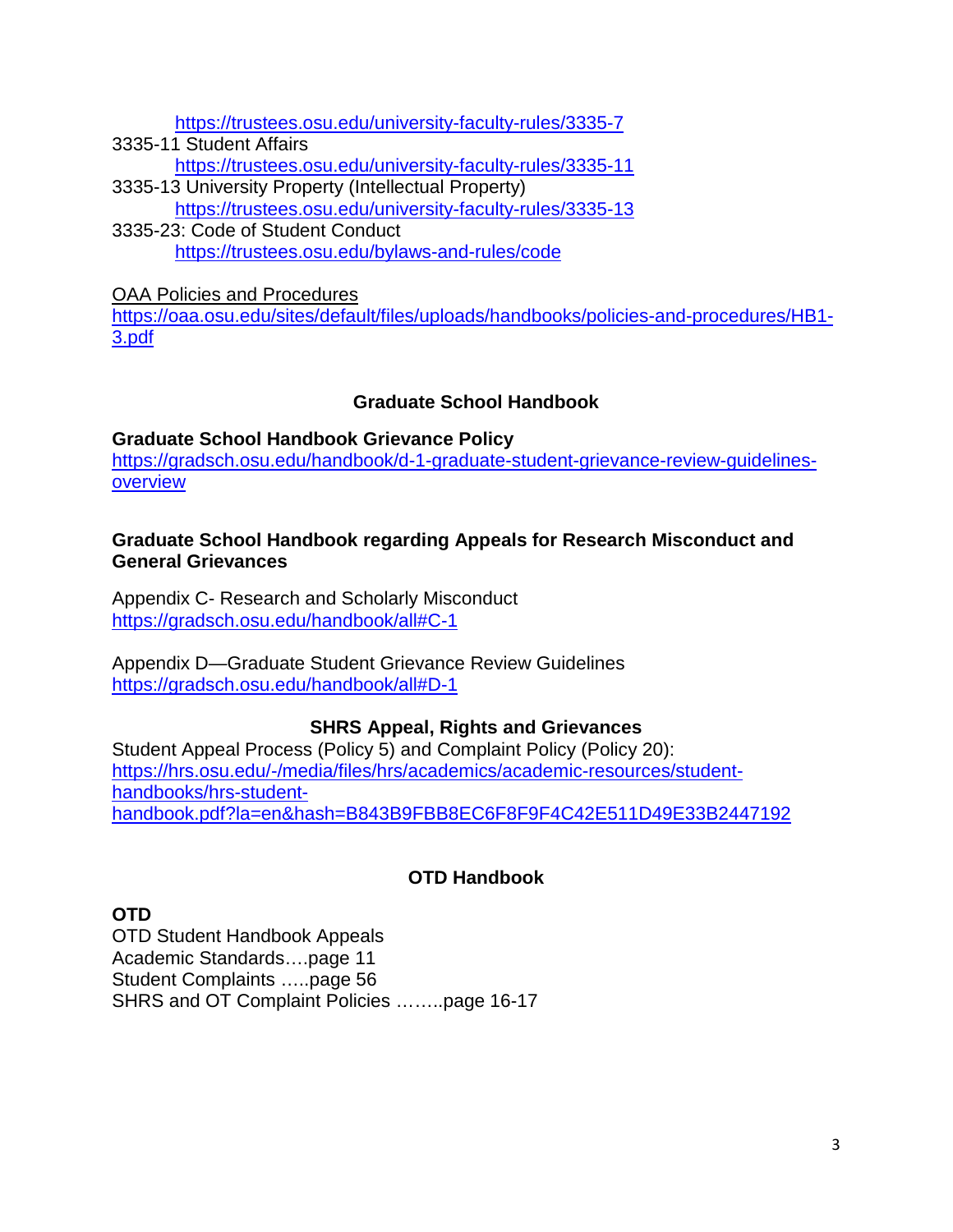<https://trustees.osu.edu/university-faculty-rules/3335-7>

3335-11 Student Affairs <https://trustees.osu.edu/university-faculty-rules/3335-11> 3335-13 University Property (Intellectual Property)

<https://trustees.osu.edu/university-faculty-rules/3335-13>

3335-23: Code of Student Conduct <https://trustees.osu.edu/bylaws-and-rules/code>

OAA Policies and Procedures

[https://oaa.osu.edu/sites/default/files/uploads/handbooks/policies-and-procedures/HB1-](https://oaa.osu.edu/sites/default/files/uploads/handbooks/policies-and-procedures/HB1-3.pdf) [3.pdf](https://oaa.osu.edu/sites/default/files/uploads/handbooks/policies-and-procedures/HB1-3.pdf)

### **Graduate School Handbook**

<span id="page-2-1"></span><span id="page-2-0"></span>**Graduate School Handbook Grievance Policy** [https://gradsch.osu.edu/handbook/d-1-graduate-student-grievance-review-guidelines](https://gradsch.osu.edu/handbook/d-1-graduate-student-grievance-review-guidelines-overview)[overview](https://gradsch.osu.edu/handbook/d-1-graduate-student-grievance-review-guidelines-overview)

#### <span id="page-2-2"></span>**Graduate School Handbook regarding Appeals for Research Misconduct and General Grievances**

<span id="page-2-3"></span>Appendix C- Research and Scholarly Misconduct <https://gradsch.osu.edu/handbook/all#C-1>

Appendix D—Graduate Student Grievance Review Guidelines <https://gradsch.osu.edu/handbook/all#D-1>

### **SHRS Appeal, Rights and Grievances**

<span id="page-2-4"></span>Student Appeal Process (Policy 5) and Complaint Policy (Policy 20): [https://hrs.osu.edu/-/media/files/hrs/academics/academic-resources/student](https://hrs.osu.edu/-/media/files/hrs/academics/academic-resources/student-handbooks/hrs-student-handbook.pdf?la=en&hash=B843B9FBB8EC6F8F9F4C42E511D49E33B2447192)[handbooks/hrs-student](https://hrs.osu.edu/-/media/files/hrs/academics/academic-resources/student-handbooks/hrs-student-handbook.pdf?la=en&hash=B843B9FBB8EC6F8F9F4C42E511D49E33B2447192)[handbook.pdf?la=en&hash=B843B9FBB8EC6F8F9F4C42E511D49E33B2447192](https://hrs.osu.edu/-/media/files/hrs/academics/academic-resources/student-handbooks/hrs-student-handbook.pdf?la=en&hash=B843B9FBB8EC6F8F9F4C42E511D49E33B2447192)

### **OTD Handbook**

<span id="page-2-6"></span><span id="page-2-5"></span>**OTD** OTD Student Handbook Appeals

Academic Standards….page 11 Student Complaints …..page 56 SHRS and OT Complaint Policies ……..page 16-17